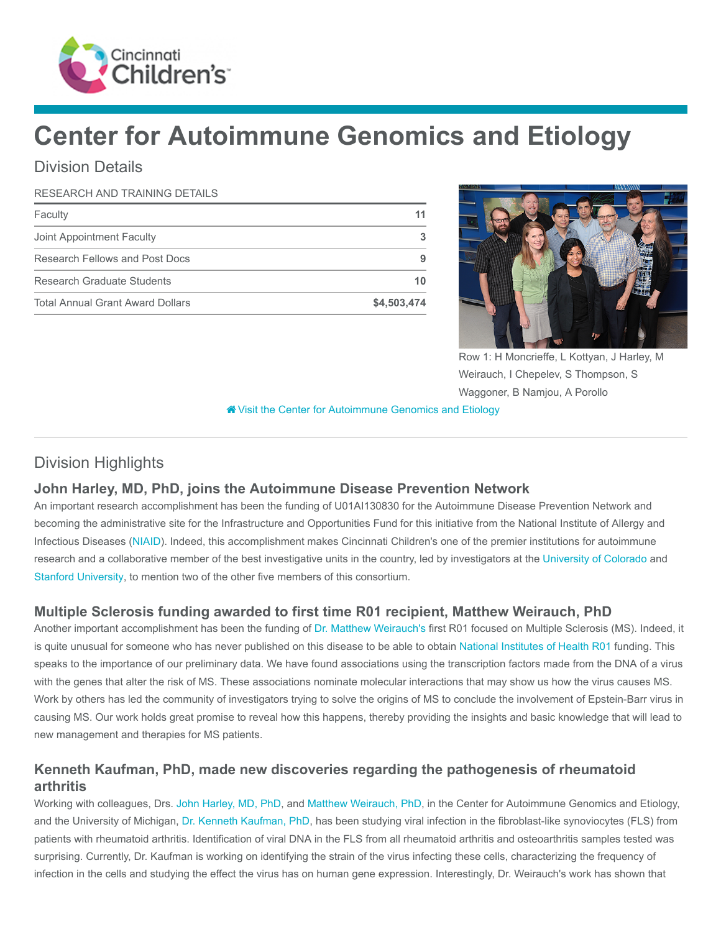

# Center for Autoimmune Genomics and Etiology

# Division Details

#### RESEARCH AND TRAINING DETAILS

| Faculty                                 | 11          |
|-----------------------------------------|-------------|
| Joint Appointment Faculty               |             |
| Research Fellows and Post Docs          | 9           |
| Research Graduate Students              | 10          |
| <b>Total Annual Grant Award Dollars</b> | \$4,503,474 |



Row 1: H Moncrieffe, L Kottyan, J Harley, M Weirauch, I Chepelev, S Thompson, S Waggoner, B Namjou, A Porollo

[Visit the Center for Autoimmune Genomics and Etiology](https://www.cincinnatichildrens.org/research/divisions/c/genomics)

## Division Highlights

#### John Harley, MD, PhD, joins the Autoimmune Disease Prevention Network

An important research accomplishment has been the funding of U01AI130830 for the Autoimmune Disease Prevention Network and becoming the administrative site for the Infrastructure and Opportunities Fund for this initiative from the National Institute of Allergy and Infectious Diseases [\(NIAID](https://www.niaid.nih.gov/)). Indeed, this accomplishment makes Cincinnati Children's one of the premier institutions for autoimmune research and a collaborative member of the best investigative units in the country, led by investigators at the [University of Colorado](http://www.cu.edu/) and [Stanford University](https://www.stanford.edu/), to mention two of the other five members of this consortium.

#### Multiple Sclerosis funding awarded to first time R01 recipient, Matthew Weirauch, PhD

Another important accomplishment has been the funding of [Dr. Matthew Weirauch's](https://www.cincinnatichildrens.org/bio/w/matthew-weirauch) first R01 focused on Multiple Sclerosis (MS). Indeed, it is quite unusual for someone who has never published on this disease to be able to obtain [National Institutes of Health R01](https://grants.nih.gov/grants/funding/r01.htm) funding. This speaks to the importance of our preliminary data. We have found associations using the transcription factors made from the DNA of a virus with the genes that alter the risk of MS. These associations nominate molecular interactions that may show us how the virus causes MS. Work by others has led the community of investigators trying to solve the origins of MS to conclude the involvement of Epstein-Barr virus in causing MS. Our work holds great promise to reveal how this happens, thereby providing the insights and basic knowledge that will lead to new management and therapies for MS patients.

## Kenneth Kaufman, PhD, made new discoveries regarding the pathogenesis of rheumatoid arthritis

Working with colleagues, Drs. [John Harley, MD, PhD,](https://www.cincinnatichildrens.org/bio/h/john-harley) and [Matthew Weirauch, PhD](https://www.cincinnatichildrens.org/bio/w/matthew-weirauch), in the Center for Autoimmune Genomics and Etiology, and the University of Michigan, [Dr. Kenneth Kaufman, PhD](https://www.cincinnatichildrens.org/bio/k/kenneth-kaufman), has been studying viral infection in the fibroblast-like synoviocytes (FLS) from patients with rheumatoid arthritis. Identification of viral DNA in the FLS from all rheumatoid arthritis and osteoarthritis samples tested was surprising. Currently, Dr. Kaufman is working on identifying the strain of the virus infecting these cells, characterizing the frequency of infection in the cells and studying the effect the virus has on human gene expression. Interestingly, Dr. Weirauch's work has shown that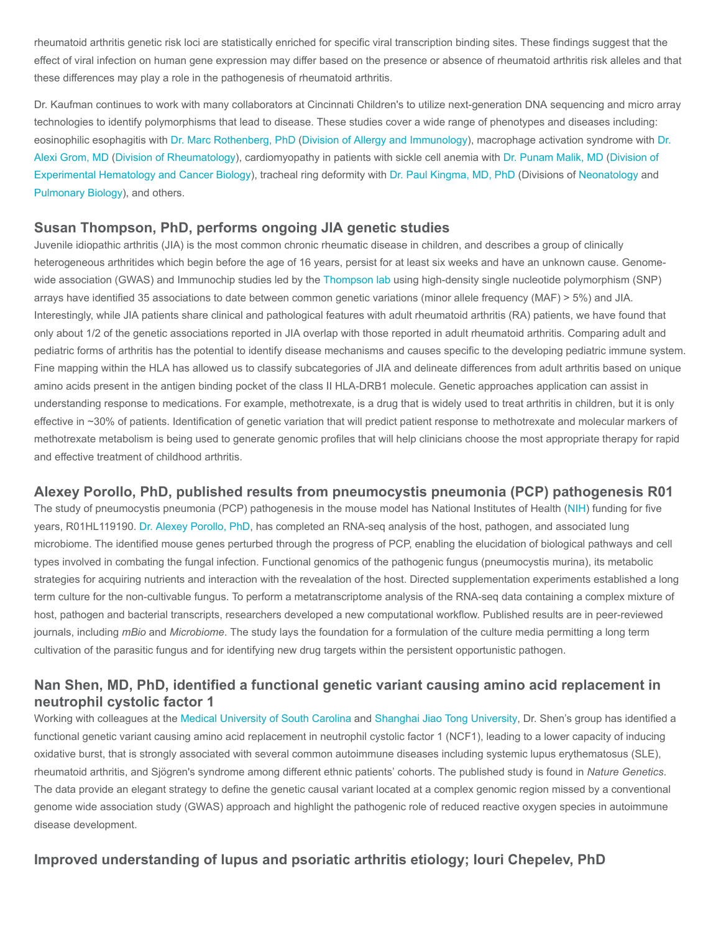rheumatoid arthritis genetic risk loci are statistically enriched for specific viral transcription binding sites. These findings suggest that the effect of viral infection on human gene expression may differ based on the presence or absence of rheumatoid arthritis risk alleles and that these differences may play a role in the pathogenesis of rheumatoid arthritis.

Dr. Kaufman continues to work with many collaborators at Cincinnati Children's to utilize next-generation DNA sequencing and micro array technologies to identify polymorphisms that lead to disease. These studies cover a wide range of phenotypes and diseases including: [eosinophilic esophagitis with](https://www.cincinnatichildrens.org/bio/g/alexei-grom) [Dr. Marc Rothenberg, Ph](https://www.cincinnatichildrens.org/bio/r/marc-rothenberg)[D \(](https://www.cincinnatichildrens.org/bio/g/alexei-grom)[Division of Allergy and Immunolog](https://www.cincinnatichildrens.org/research/divisions/a/allergy-immunology)[y\), macrophage activation syndrome with Dr.](https://www.cincinnatichildrens.org/bio/g/alexei-grom) Alexi Grom, MD ([Division of Rheumatology](https://www.cincinnatichildrens.org/research/divisions/r/rheumatology)), cardiomyopathy in patients with sickle cell anemia with [Dr. Punam Malik, MD](https://www.cincinnatichildrens.org/bio/m/punam-malik) (Division of [Experimental Hematology and Cancer Biology\), tracheal ring deformity with Dr. Paul Kingma, MD, PhD \(Divisions of Neonatology and](https://www.cincinnatichildrens.org/research/divisions/e/ex-hem) [Pulmonary Biology](https://www.cincinnatichildrens.org/research/divisions/p/pulmonary-bio)), and others.

#### Susan Thompson, PhD, performs ongoing JIA genetic studies

Juvenile idiopathic arthritis (JIA) is the most common chronic rheumatic disease in children, and describes a group of clinically heterogeneous arthritides which begin before the age of 16 years, persist for at least six weeks and have an unknown cause. Genomewide association (GWAS) and Immunochip studies led by the [Thompson lab](https://www.cincinnatichildrens.org/research/divisions/a/genomics-etiology/labs/thompson) using high-density single nucleotide polymorphism (SNP) arrays have identified 35 associations to date between common genetic variations (minor allele frequency (MAF) > 5%) and JIA. Interestingly, while JIA patients share clinical and pathological features with adult rheumatoid arthritis (RA) patients, we have found that only about 1/2 of the genetic associations reported in JIA overlap with those reported in adult rheumatoid arthritis. Comparing adult and pediatric forms of arthritis has the potential to identify disease mechanisms and causes specific to the developing pediatric immune system. Fine mapping within the HLA has allowed us to classify subcategories of JIA and delineate differences from adult arthritis based on unique amino acids present in the antigen binding pocket of the class II HLA-DRB1 molecule. Genetic approaches application can assist in understanding response to medications. For example, methotrexate, is a drug that is widely used to treat arthritis in children, but it is only effective in ~30% of patients. Identification of genetic variation that will predict patient response to methotrexate and molecular markers of methotrexate metabolism is being used to generate genomic profiles that will help clinicians choose the most appropriate therapy for rapid and effective treatment of childhood arthritis.

#### Alexey Porollo, PhD, published results from pneumocystis pneumonia (PCP) pathogenesis R01

The study of pneumocystis pneumonia (PCP) pathogenesis in the mouse model has National Institutes of Health ([NIH\)](https://www.nih.gov/) funding for five years, R01HL119190. [Dr. Alexey Porollo, PhD,](https://www.cincinnatichildrens.org/bio/p/alexey-porollo) has completed an RNA-seq analysis of the host, pathogen, and associated lung microbiome. The identified mouse genes perturbed through the progress of PCP, enabling the elucidation of biological pathways and cell types involved in combating the fungal infection. Functional genomics of the pathogenic fungus (pneumocystis murina), its metabolic strategies for acquiring nutrients and interaction with the revealation of the host. Directed supplementation experiments established a long term culture for the non-cultivable fungus. To perform a metatranscriptome analysis of the RNA-seq data containing a complex mixture of host, pathogen and bacterial transcripts, researchers developed a new computational workflow. Published results are in peer-reviewed journals, including mBio and Microbiome. The study lays the foundation for a formulation of the culture media permitting a long term cultivation of the parasitic fungus and for identifying new drug targets within the persistent opportunistic pathogen.

## Nan Shen, MD, PhD, identified a functional genetic variant causing amino acid replacement in neutrophil cystolic factor 1

Working with colleagues at the [Medical University of South Carolina](http://academicdepartments.musc.edu/musc/) and [Shanghai Jiao Tong University](http://en.sjtu.edu.cn/), Dr. Shen's group has identified a functional genetic variant causing amino acid replacement in neutrophil cystolic factor 1 (NCF1), leading to a lower capacity of inducing oxidative burst, that is strongly associated with several common autoimmune diseases including systemic lupus erythematosus (SLE), rheumatoid arthritis, and Sjögren's syndrome among different ethnic patients' cohorts. The published study is found in Nature Genetics. The data provide an elegant strategy to define the genetic causal variant located at a complex genomic region missed by a conventional genome wide association study (GWAS) approach and highlight the pathogenic role of reduced reactive oxygen species in autoimmune disease development.

## Improved understanding of lupus and psoriatic arthritis etiology; Iouri Chepelev, PhD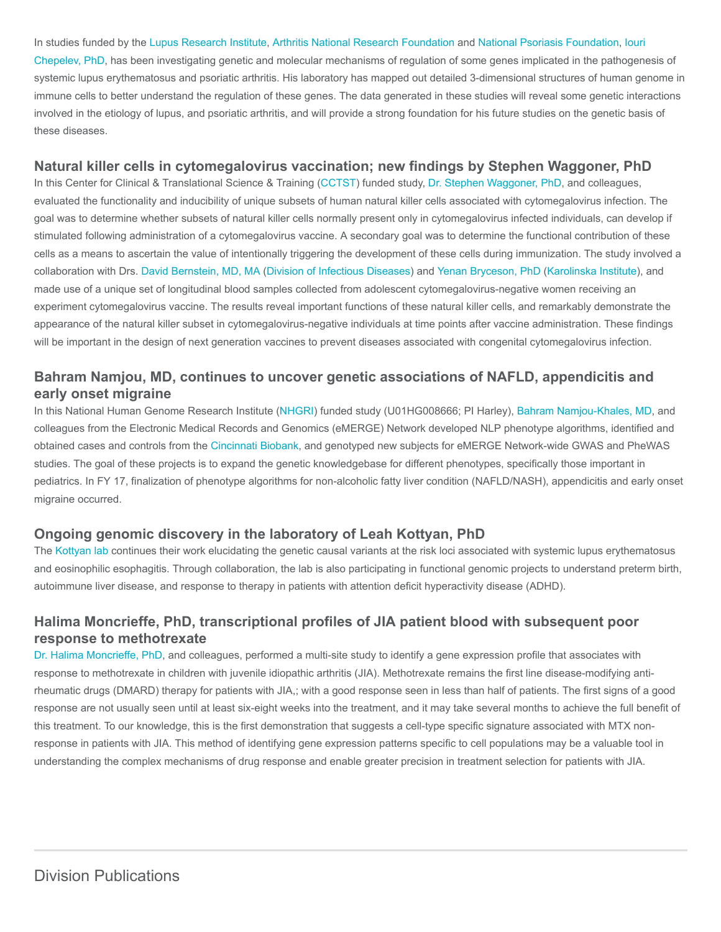[In studies funded by the L](https://www.cincinnatichildrens.org/bio/c/iouri-chepelev)[upus Research Institut](http://www.lupusresearchinstitute.org/)[e, A](https://www.cincinnatichildrens.org/bio/c/iouri-chepelev)[rthritis National Research Foundatio](https://www.curearthritis.org/)[n and](https://www.cincinnatichildrens.org/bio/c/iouri-chepelev) [National Psoriasis Foundation](https://www.psoriasis.org/)[, Iouri](https://www.cincinnatichildrens.org/bio/c/iouri-chepelev) Chepelev, PhD, has been investigating genetic and molecular mechanisms of regulation of some genes implicated in the pathogenesis of systemic lupus erythematosus and psoriatic arthritis. His laboratory has mapped out detailed 3-dimensional structures of human genome in immune cells to better understand the regulation of these genes. The data generated in these studies will reveal some genetic interactions involved in the etiology of lupus, and psoriatic arthritis, and will provide a strong foundation for his future studies on the genetic basis of these diseases.

#### Natural killer cells in cytomegalovirus vaccination; new findings by Stephen Waggoner, PhD

In this Center for Clinical & Translational Science & Training ([CCTST\)](https://cctst.uc.edu/) funded study, [Dr. Stephen Waggoner, PhD](https://www.cincinnatichildrens.org/bio/w/stephen-waggoner), and colleagues, evaluated the functionality and inducibility of unique subsets of human natural killer cells associated with cytomegalovirus infection. The goal was to determine whether subsets of natural killer cells normally present only in cytomegalovirus infected individuals, can develop if stimulated following administration of a cytomegalovirus vaccine. A secondary goal was to determine the functional contribution of these cells as a means to ascertain the value of intentionally triggering the development of these cells during immunization. The study involved a collaboration with Drs. [David Bernstein, MD, MA](https://www.cincinnatichildrens.org/bio/b/david-bernstein) [\(Division of Infectious Diseases](https://www.cincinnatichildrens.org/research/divisions/i/infectious)) and [Yenan Bryceson, PhD](http://ki.se/en/people/yenbry) ([Karolinska Institute](http://ki.se/en/medh/yenan-bryceson-group)), and made use of a unique set of longitudinal blood samples collected from adolescent cytomegalovirus-negative women receiving an experiment cytomegalovirus vaccine. The results reveal important functions of these natural killer cells, and remarkably demonstrate the appearance of the natural killer subset in cytomegalovirus-negative individuals at time points after vaccine administration. These findings will be important in the design of next generation vaccines to prevent diseases associated with congenital cytomegalovirus infection.

## Bahram Namjou, MD, continues to uncover genetic associations of NAFLD, appendicitis and early onset migraine

In this National Human Genome Research Institute ([NHGRI\)](https://www.genome.gov/) funded study (U01HG008666; PI Harley), [Bahram Namjou-Khales, MD,](https://www.cincinnatichildrens.org/bio/n/bahram-namjou-khales) and colleagues from the Electronic Medical Records and Genomics (eMERGE) Network developed NLP phenotype algorithms, identified and obtained cases and controls from the [Cincinnati Biobank,](https://www.cincinnatichildrens.org/research/cores/biobank) and genotyped new subjects for eMERGE Network-wide GWAS and PheWAS studies. The goal of these projects is to expand the genetic knowledgebase for different phenotypes, specifically those important in pediatrics. In FY 17, finalization of phenotype algorithms for non-alcoholic fatty liver condition (NAFLD/NASH), appendicitis and early onset migraine occurred.

#### Ongoing genomic discovery in the laboratory of Leah Kottyan, PhD

The [Kottyan lab](https://www.cincinnatichildrens.org/research/divisions/a/genomics-etiology/labs/kottyan) continues their work elucidating the genetic causal variants at the risk loci associated with systemic lupus erythematosus and eosinophilic esophagitis. Through collaboration, the lab is also participating in functional genomic projects to understand preterm birth, autoimmune liver disease, and response to therapy in patients with attention deficit hyperactivity disease (ADHD).

## Halima Moncrieffe, PhD, transcriptional profiles of JIA patient blood with subsequent poor response to methotrexate

[Dr. Halima Moncrieffe, PhD,](https://www.cincinnatichildrens.org/bio/m/halima-moncrieffe) and colleagues, performed a multi-site study to identify a gene expression profile that associates with response to methotrexate in children with juvenile idiopathic arthritis (JIA). Methotrexate remains the first line disease-modifying antirheumatic drugs (DMARD) therapy for patients with JIA,; with a good response seen in less than half of patients. The first signs of a good response are not usually seen until at least six-eight weeks into the treatment, and it may take several months to achieve the full benefit of this treatment. To our knowledge, this is the first demonstration that suggests a cell-type specific signature associated with MTX nonresponse in patients with JIA. This method of identifying gene expression patterns specific to cell populations may be a valuable tool in understanding the complex mechanisms of drug response and enable greater precision in treatment selection for patients with JIA.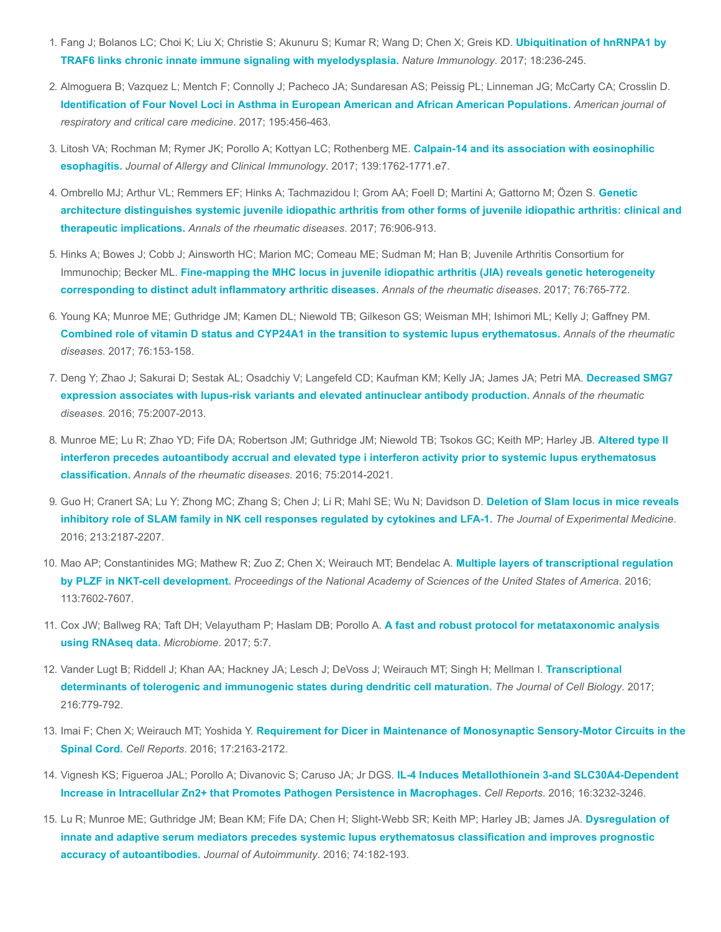- 1. [Fang J; Bolanos LC; Choi K; Liu X; Christie S; Akunuru S; Kumar R; Wang D; Chen X; Greis KD.](https://www.ncbi.nlm.nih.gov/pubmed/28024152) Ubiquitination of hnRNPA1 by TRAF6 links chronic innate immune signaling with myelodysplasia. Nature Immunology. 2017; 18:236-245.
- 2. Almoguera B; Vazquez L; Mentch F; Connolly J; Pacheco JA; Sundaresan AS; Peissig PL; Linneman JG; McCarty CA; Crosslin D. [Identification of Four Novel Loci in Asthma in European American and African American Populations.](https://www.ncbi.nlm.nih.gov/pubmed/27611488) American journal of respiratory and critical care medicine. 2017; 195:456-463.
- 3. [Litosh VA; Rochman M; Rymer JK; Porollo A; Kottyan LC; Rothenberg ME.](https://www.ncbi.nlm.nih.gov/pubmed/28131390) Calpain-14 and its association with eosinophilic esophagitis. Journal of Allergy and Clinical Immunology. 2017; 139:1762-1771.e7.
- 4. Ombrello MJ; Arthur VL; Remmers EF; Hinks A; Tachmazidou I; Grom AA; Foell D; Martini A; Gattorno M; Özen S. Genetic [architecture distinguishes systemic juvenile idiopathic arthritis from other forms of juvenile idiopathic arthritis: clinical and](https://www.ncbi.nlm.nih.gov/pubmed/27927641) therapeutic implications. Annals of the rheumatic diseases. 2017; 76:906-913.
- 5. Hinks A; Bowes J; Cobb J; Ainsworth HC; Marion MC; Comeau ME; Sudman M; Han B; Juvenile Arthritis Consortium for Immunochip; Becker ML. [Fine-mapping the MHC locus in juvenile idiopathic arthritis \(JIA\) reveals genetic heterogeneity](https://www.ncbi.nlm.nih.gov/pubmed/27998952) corresponding to distinct adult inflammatory arthritic diseases. Annals of the rheumatic diseases. 2017; 76:765-772.
- 6. Young KA; Munroe ME; Guthridge JM; Kamen DL; Niewold TB; Gilkeson GS; Weisman MH; Ishimori ML; Kelly J; Gaffney PM. [Combined role of vitamin D status and CYP24A1 in the transition to systemic lupus erythematosus.](https://www.ncbi.nlm.nih.gov/pubmed/27283331) Annals of the rheumatic diseases. 2017; 76:153-158.
- 7. [Deng Y; Zhao J; Sakurai D; Sestak AL; Osadchiy V; Langefeld CD; Kaufman KM; Kelly JA; James JA; Petri MA.](https://www.ncbi.nlm.nih.gov/pubmed/26783109) Decreased SMG7 expression associates with lupus-risk variants and elevated antinuclear antibody production. Annals of the rheumatic diseases. 2016; 75:2007-2013.
- 8. [Munroe ME; Lu R; Zhao YD; Fife DA; Robertson JM; Guthridge JM; Niewold TB; Tsokos GC; Keith MP; Harley JB.](https://www.ncbi.nlm.nih.gov/pubmed/27088255) Altered type II interferon precedes autoantibody accrual and elevated type i interferon activity prior to systemic lupus erythematosus classification. Annals of the rheumatic diseases. 2016; 75:2014-2021.
- 9. [Guo H; Cranert SA; Lu Y; Zhong MC; Zhang S; Chen J; Li R; Mahl SE; Wu N; Davidson D.](https://www.ncbi.nlm.nih.gov/pubmed/27573813) Deletion of Slam locus in mice reveals inhibitory role of SLAM family in NK cell responses regulated by cytokines and LFA-1. The Journal of Experimental Medicine. 2016; 213:2187-2207.
- 10. [Mao AP; Constantinides MG; Mathew R; Zuo Z; Chen X; Weirauch MT; Bendelac A.](https://www.ncbi.nlm.nih.gov/pubmed/27325774) Multiple layers of transcriptional regulation by PLZF in NKT-cell development. Proceedings of the National Academy of Sciences of the United States of America. 2016; 113:7602-7607.
- 11. [Cox JW; Ballweg RA; Taft DH; Velayutham P; Haslam DB; Porollo A.](https://www.ncbi.nlm.nih.gov/pubmed/28103917) A fast and robust protocol for metataxonomic analysis using RNAseq data. Microbiome. 2017; 5:7.
- 12. [Vander Lugt B; Riddell J; Khan AA; Hackney JA; Lesch J; DeVoss J; Weirauch MT; Singh H; Mellman I.](https://www.ncbi.nlm.nih.gov/pubmed/28130292) Transcriptional determinants of tolerogenic and immunogenic states during dendritic cell maturation. The Journal of Cell Biology. 2017; 216:779-792.
- 13. Imai F; Chen X; Weirauch MT; Yoshida Y. [Requirement for Dicer in Maintenance of Monosynaptic Sensory-Motor Circuits in the](https://www.ncbi.nlm.nih.gov/pubmed/27880894) Spinal Cord. Cell Reports. 2016; 17:2163-2172.
- 14. Vignesh KS; Figueroa JAL; Porollo A; Divanovic S; Caruso JA; Jr DGS. IL-4 Induces Metallothionein 3-and SLC30A4-Dependent [Increase in Intracellular Zn2+ that Promotes Pathogen Persistence in Macrophages.](https://www.ncbi.nlm.nih.gov/pubmed/27653687) Cell Reports. 2016; 16:3232-3246.
- 15. [Lu R; Munroe ME; Guthridge JM; Bean KM; Fife DA; Chen H; Slight-Webb SR; Keith MP; Harley JB; James JA.](https://www.ncbi.nlm.nih.gov/pubmed/27338520) Dysregulation of innate and adaptive serum mediators precedes systemic lupus erythematosus classification and improves prognostic accuracy of autoantibodies. Journal of Autoimmunity. 2016; 74:182-193.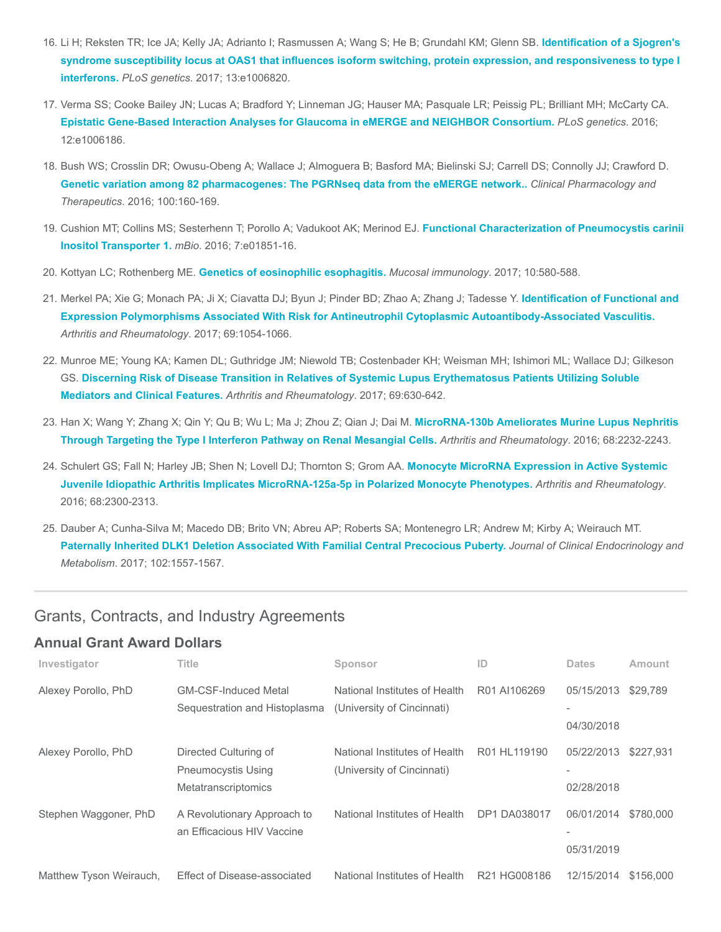- 16. Li H; Reksten TR; Ice JA; Kelly JA; Adrianto I; Rasmussen A; Wang S; He B; Grundahl KM; Glenn SB. Identification of a Sjogren's [syndrome susceptibility locus at OAS1 that influences isoform switching, protein expression, and responsiveness to type I](https://www.ncbi.nlm.nih.gov/pubmed/28640813) interferons. PLoS genetics. 2017; 13:e1006820.
- 17. Verma SS; Cooke Bailey JN; Lucas A; Bradford Y; Linneman JG; Hauser MA; Pasquale LR; Peissig PL; Brilliant MH; McCarty CA. [Epistatic Gene-Based Interaction Analyses for Glaucoma in eMERGE and NEIGHBOR Consortium.](https://www.ncbi.nlm.nih.gov/pubmed/27623284) PLoS genetics. 2016; 12:e1006186.
- 18. Bush WS; Crosslin DR; Owusu-Obeng A; Wallace J; Almoguera B; Basford MA; Bielinski SJ; Carrell DS; Connolly JJ; Crawford D. [Genetic variation among 82 pharmacogenes: The PGRNseq data from the eMERGE network..](https://www.ncbi.nlm.nih.gov/pubmed/26857349) Clinical Pharmacology and Therapeutics. 2016; 100:160-169.
- 19. [Cushion MT; Collins MS; Sesterhenn T; Porollo A; Vadukoot AK; Merinod EJ.](https://www.ncbi.nlm.nih.gov/pubmed/27965450) Functional Characterization of Pneumocystis carinii Inositol Transporter 1. mBio. 2016; 7:e01851-16.
- 20. Kottyan LC; Rothenberg ME. [Genetics of eosinophilic esophagitis.](https://www.ncbi.nlm.nih.gov/pubmed/28224995) Mucosal immunology. 2017; 10:580-588.
- 21. Merkel PA; Xie G; Monach PA; Ji X; Ciavatta DJ; Byun J; Pinder BD; Zhao A; Zhang J; Tadesse Y. Identification of Functional and [Expression Polymorphisms Associated With Risk for Antineutrophil Cytoplasmic Autoantibody-Associated Vasculitis.](https://www.ncbi.nlm.nih.gov/pubmed/28029757) Arthritis and Rheumatology. 2017; 69:1054-1066.
- 22. Munroe ME; Young KA; Kamen DL; Guthridge JM; Niewold TB; Costenbader KH; Weisman MH; Ishimori ML; Wallace DJ; Gilkeson GS. [Discerning Risk of Disease Transition in Relatives of Systemic Lupus Erythematosus Patients Utilizing Soluble](https://www.ncbi.nlm.nih.gov/pubmed/27863174) Mediators and Clinical Features. Arthritis and Rheumatology. 2017; 69:630-642.
- 23. [Han X; Wang Y; Zhang X; Qin Y; Qu B; Wu L; Ma J; Zhou Z; Qian J; Dai M.](https://www.ncbi.nlm.nih.gov/pubmed/27111096) MicroRNA-130b Ameliorates Murine Lupus Nephritis Through Targeting the Type I Interferon Pathway on Renal Mesangial Cells. Arthritis and Rheumatology. 2016; 68:2232-2243.
- 24. Schulert GS; Fall N; Harley JB; Shen N; Lovell DJ; Thornton S; Grom AA. Monocyte MicroRNA Expression in Active Systemic [Juvenile Idiopathic Arthritis Implicates MicroRNA-125a-5p in Polarized Monocyte Phenotypes.](https://www.ncbi.nlm.nih.gov/pubmed/27014994) Arthritis and Rheumatology. 2016; 68:2300-2313.
- 25. Dauber A; Cunha-Silva M; Macedo DB; Brito VN; Abreu AP; Roberts SA; Montenegro LR; Andrew M; Kirby A; Weirauch MT. [Paternally Inherited DLK1 Deletion Associated With Familial Central Precocious Puberty.](https://www.ncbi.nlm.nih.gov/pubmed/28324015) Journal of Clinical Endocrinology and Metabolism. 2017; 102:1557-1567.

# Grants, Contracts, and Industry Agreements

#### Annual Grant Award Dollars

| Investigator            | <b>Title</b>                                                              | Sponsor                                                     | ID                  | <b>Dates</b>             | <b>Amount</b> |
|-------------------------|---------------------------------------------------------------------------|-------------------------------------------------------------|---------------------|--------------------------|---------------|
| Alexey Porollo, PhD     | <b>GM-CSF-Induced Metal</b><br>Sequestration and Histoplasma              | National Institutes of Health<br>(University of Cincinnati) | R01 AI106269        | 05/15/2013<br>04/30/2018 | \$29,789      |
| Alexey Porollo, PhD     | Directed Culturing of<br><b>Pneumocystis Using</b><br>Metatranscriptomics | National Institutes of Health<br>(University of Cincinnati) | R01 HL119190        | 05/22/2013<br>02/28/2018 | \$227,931     |
| Stephen Waggoner, PhD   | A Revolutionary Approach to<br>an Efficacious HIV Vaccine                 | National Institutes of Health                               | <b>DP1 DA038017</b> | 06/01/2014<br>05/31/2019 | \$780,000     |
| Matthew Tyson Weirauch, | Effect of Disease-associated                                              | National Institutes of Health                               | R21 HG008186        | 12/15/2014               | \$156,000     |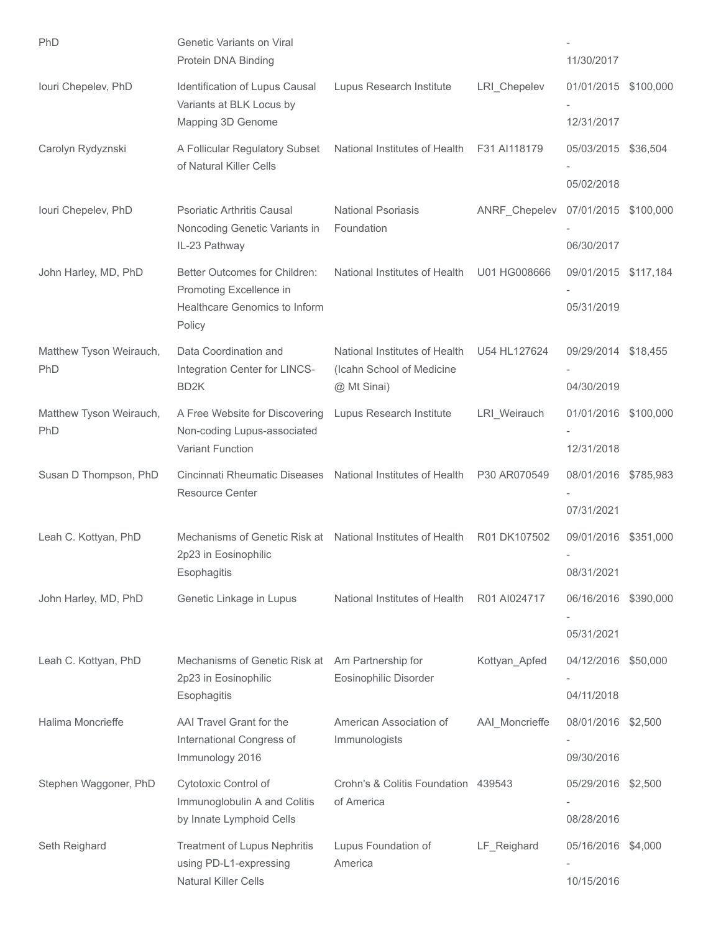| PhD                            | <b>Genetic Variants on Viral</b><br>Protein DNA Binding                                             |                                                                           |                | 11/30/2017                         |           |
|--------------------------------|-----------------------------------------------------------------------------------------------------|---------------------------------------------------------------------------|----------------|------------------------------------|-----------|
| Iouri Chepelev, PhD            | Identification of Lupus Causal<br>Variants at BLK Locus by<br>Mapping 3D Genome                     | Lupus Research Institute                                                  | LRI_Chepelev   | 01/01/2015 \$100,000               |           |
|                                |                                                                                                     |                                                                           |                | 12/31/2017                         |           |
| Carolyn Rydyznski              | A Follicular Regulatory Subset<br>of Natural Killer Cells                                           | National Institutes of Health                                             | F31 AI118179   | 05/03/2015 \$36,504<br>05/02/2018  |           |
| Iouri Chepelev, PhD            | <b>Psoriatic Arthritis Causal</b><br>Noncoding Genetic Variants in<br>IL-23 Pathway                 | <b>National Psoriasis</b><br>Foundation                                   | ANRF_Chepelev  | 07/01/2015 \$100,000<br>06/30/2017 |           |
| John Harley, MD, PhD           | Better Outcomes for Children:<br>Promoting Excellence in<br>Healthcare Genomics to Inform<br>Policy | National Institutes of Health                                             | U01 HG008666   | 09/01/2015 \$117,184<br>05/31/2019 |           |
| Matthew Tyson Weirauch,<br>PhD | Data Coordination and<br>Integration Center for LINCS-<br>BD <sub>2</sub> K                         | National Institutes of Health<br>(Icahn School of Medicine<br>@ Mt Sinai) | U54 HL127624   | 09/29/2014 \$18,455<br>04/30/2019  |           |
| Matthew Tyson Weirauch,<br>PhD | A Free Website for Discovering<br>Non-coding Lupus-associated<br>Variant Function                   | Lupus Research Institute                                                  | LRI_Weirauch   | 01/01/2016 \$100,000<br>12/31/2018 |           |
| Susan D Thompson, PhD          | Cincinnati Rheumatic Diseases<br><b>Resource Center</b>                                             | National Institutes of Health                                             | P30 AR070549   | 08/01/2016 \$785,983<br>07/31/2021 |           |
| Leah C. Kottyan, PhD           | Mechanisms of Genetic Risk at National Institutes of Health<br>2p23 in Eosinophilic<br>Esophagitis  |                                                                           | R01 DK107502   | 09/01/2016 \$351,000<br>08/31/2021 |           |
| John Harley, MD, PhD           | Genetic Linkage in Lupus                                                                            | National Institutes of Health                                             | R01 AI024717   | 06/16/2016<br>05/31/2021           | \$390,000 |
| Leah C. Kottyan, PhD           | Mechanisms of Genetic Risk at<br>2p23 in Eosinophilic<br>Esophagitis                                | Am Partnership for<br>Eosinophilic Disorder                               | Kottyan Apfed  | 04/12/2016 \$50,000<br>04/11/2018  |           |
| Halima Moncrieffe              | AAI Travel Grant for the<br>International Congress of<br>Immunology 2016                            | American Association of<br>Immunologists                                  | AAI_Moncrieffe | 08/01/2016 \$2,500<br>09/30/2016   |           |
| Stephen Waggoner, PhD          | Cytotoxic Control of<br>Immunoglobulin A and Colitis<br>by Innate Lymphoid Cells                    | Crohn's & Colitis Foundation 439543<br>of America                         |                | 05/29/2016 \$2,500<br>08/28/2016   |           |
| Seth Reighard                  | <b>Treatment of Lupus Nephritis</b><br>using PD-L1-expressing<br>Natural Killer Cells               | Lupus Foundation of<br>America                                            | LF_Reighard    | 05/16/2016 \$4,000<br>10/15/2016   |           |